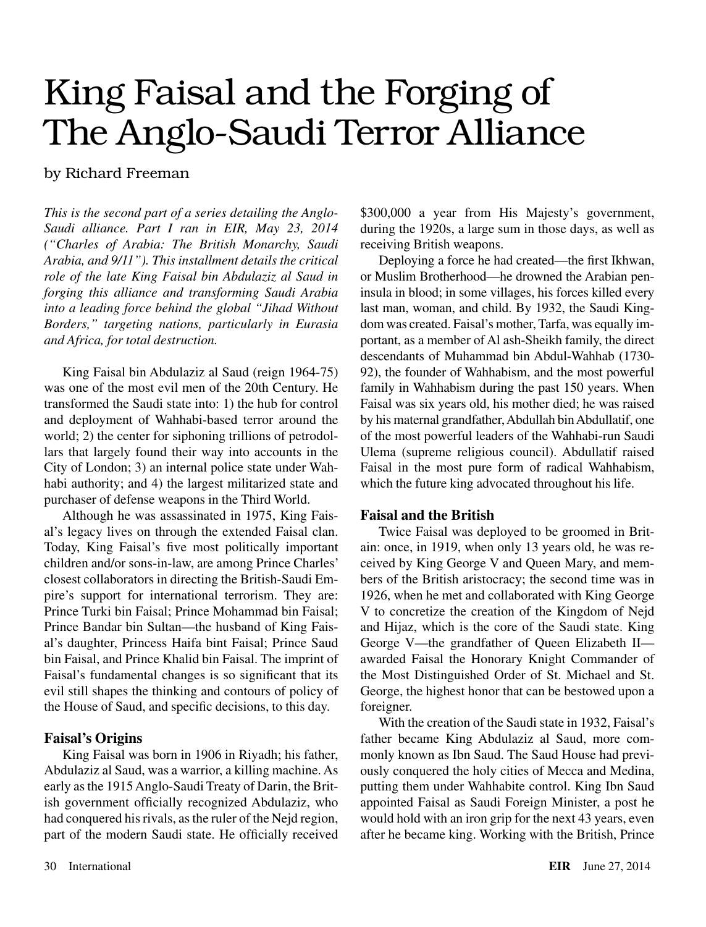# King Faisal and the Forging of The Anglo-Saudi Terror Alliance

### by Richard Freeman

*This is the second part of a series detailing the Anglo-Saudi alliance. Part I ran in EIR, May 23, 2014 ("Charles of Arabia: The British Monarchy, Saudi Arabia, and 9/11"). This installment details the critical role of the late King Faisal bin Abdulaziz al Saud in forging this alliance and transforming Saudi Arabia into a leading force behind the global "Jihad Without Borders," targeting nations, particularly in Eurasia and Africa, for total destruction.*

King Faisal bin Abdulaziz al Saud (reign 1964-75) was one of the most evil men of the 20th Century. He transformed the Saudi state into: 1) the hub for control and deployment of Wahhabi-based terror around the world; 2) the center for siphoning trillions of petrodollars that largely found their way into accounts in the City of London; 3) an internal police state under Wahhabi authority; and 4) the largest militarized state and purchaser of defense weapons in the Third World.

Although he was assassinated in 1975, King Faisal's legacy lives on through the extended Faisal clan. Today, King Faisal's five most politically important children and/or sons-in-law, are among Prince Charles' closest collaborators in directing the British-Saudi Empire's support for international terrorism. They are: Prince Turki bin Faisal; Prince Mohammad bin Faisal; Prince Bandar bin Sultan—the husband of King Faisal's daughter, Princess Haifa bint Faisal; Prince Saud bin Faisal, and Prince Khalid bin Faisal. The imprint of Faisal's fundamental changes is so significant that its evil still shapes the thinking and contours of policy of the House of Saud, and specific decisions, to this day.

#### **Faisal's Origins**

King Faisal was born in 1906 in Riyadh; his father, Abdulaziz al Saud, was a warrior, a killing machine. As early as the 1915 Anglo-Saudi Treaty of Darin, the British government officially recognized Abdulaziz, who had conquered his rivals, as the ruler of the Nejd region, part of the modern Saudi state. He officially received \$300,000 a year from His Majesty's government, during the 1920s, a large sum in those days, as well as receiving British weapons.

Deploying a force he had created—the first Ikhwan, or Muslim Brotherhood—he drowned the Arabian peninsula in blood; in some villages, his forces killed every last man, woman, and child. By 1932, the Saudi Kingdom was created. Faisal's mother, Tarfa, was equally important, as a member of Al ash-Sheikh family, the direct descendants of Muhammad bin Abdul-Wahhab (1730- 92), the founder of Wahhabism, and the most powerful family in Wahhabism during the past 150 years. When Faisal was six years old, his mother died; he was raised by his maternal grandfather, Abdullah bin Abdullatif, one of the most powerful leaders of the Wahhabi-run Saudi Ulema (supreme religious council). Abdullatif raised Faisal in the most pure form of radical Wahhabism, which the future king advocated throughout his life.

#### **Faisal and the British**

Twice Faisal was deployed to be groomed in Britain: once, in 1919, when only 13 years old, he was received by King George V and Queen Mary, and members of the British aristocracy; the second time was in 1926, when he met and collaborated with King George V to concretize the creation of the Kingdom of Nejd and Hijaz, which is the core of the Saudi state. King George V—the grandfather of Queen Elizabeth II awarded Faisal the Honorary Knight Commander of the Most Distinguished Order of St. Michael and St. George, the highest honor that can be bestowed upon a foreigner.

With the creation of the Saudi state in 1932, Faisal's father became King Abdulaziz al Saud, more commonly known as Ibn Saud. The Saud House had previously conquered the holy cities of Mecca and Medina, putting them under Wahhabite control. King Ibn Saud appointed Faisal as Saudi Foreign Minister, a post he would hold with an iron grip for the next 43 years, even after he became king. Working with the British, Prince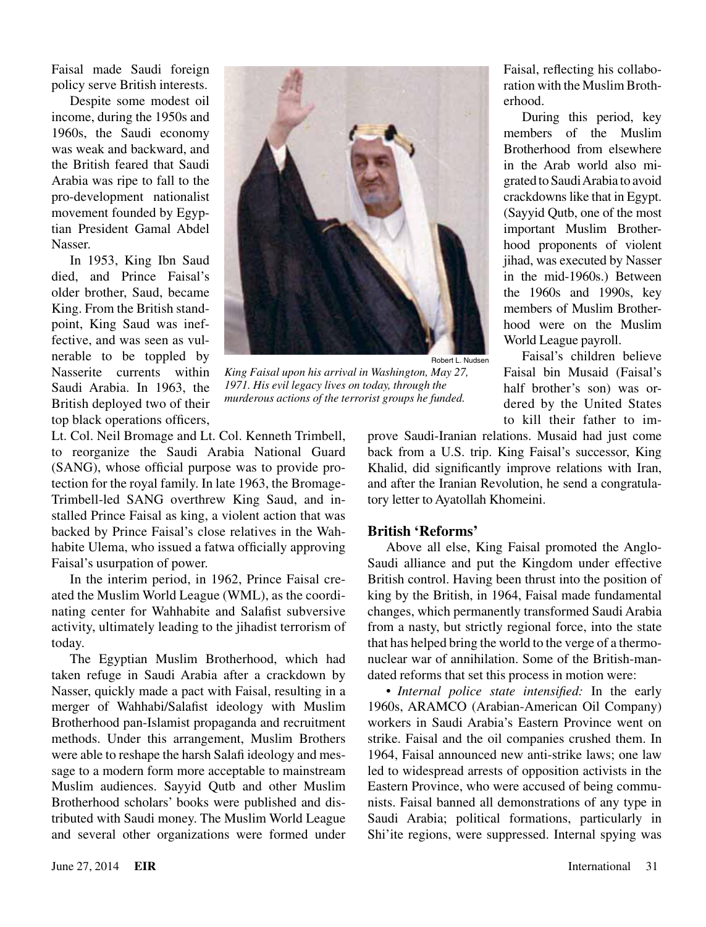Faisal made Saudi foreign policy serve British interests.

Despite some modest oil income, during the 1950s and 1960s, the Saudi economy was weak and backward, and the British feared that Saudi Arabia was ripe to fall to the pro-development nationalist movement founded by Egyptian President Gamal Abdel Nasser.

In 1953, King Ibn Saud died, and Prince Faisal's older brother, Saud, became King. From the British standpoint, King Saud was ineffective, and was seen as vulnerable to be toppled by Nasserite currents within Saudi Arabia. In 1963, the British deployed two of their top black operations officers,



*King Faisal upon his arrival in Washington, May 27, 1971. His evil legacy lives on today, through the murderous actions of the terrorist groups he funded.*

Lt. Col. Neil Bromage and Lt. Col. Kenneth Trimbell, to reorganize the Saudi Arabia National Guard (SANG), whose official purpose was to provide protection for the royal family. In late 1963, the Bromage-Trimbell-led SANG overthrew King Saud, and installed Prince Faisal as king, a violent action that was backed by Prince Faisal's close relatives in the Wahhabite Ulema, who issued a fatwa officially approving Faisal's usurpation of power.

In the interim period, in 1962, Prince Faisal created the Muslim World League (WML), as the coordinating center for Wahhabite and Salafist subversive activity, ultimately leading to the jihadist terrorism of today.

The Egyptian Muslim Brotherhood, which had taken refuge in Saudi Arabia after a crackdown by Nasser, quickly made a pact with Faisal, resulting in a merger of Wahhabi/Salafist ideology with Muslim Brotherhood pan-Islamist propaganda and recruitment methods. Under this arrangement, Muslim Brothers were able to reshape the harsh Salafi ideology and message to a modern form more acceptable to mainstream Muslim audiences. Sayyid Qutb and other Muslim Brotherhood scholars' books were published and distributed with Saudi money. The Muslim World League and several other organizations were formed under

back from a U.S. trip. King Faisal's successor, King Khalid, did significantly improve relations with Iran, and after the Iranian Revolution, he send a congratulatory letter to Ayatollah Khomeini. **British 'Reforms'**

prove Saudi-Iranian relations. Musaid had just come

Above all else, King Faisal promoted the Anglo-Saudi alliance and put the Kingdom under effective British control. Having been thrust into the position of king by the British, in 1964, Faisal made fundamental changes, which permanently transformed Saudi Arabia from a nasty, but strictly regional force, into the state that has helped bring the world to the verge of a thermonuclear war of annihilation. Some of the British-mandated reforms that set this process in motion were:

• *Internal police state intensified:* In the early 1960s, ARAMCO (Arabian-American Oil Company) workers in Saudi Arabia's Eastern Province went on strike. Faisal and the oil companies crushed them. In 1964, Faisal announced new anti-strike laws; one law led to widespread arrests of opposition activists in the Eastern Province, who were accused of being communists. Faisal banned all demonstrations of any type in Saudi Arabia; political formations, particularly in Shi'ite regions, were suppressed. Internal spying was

Faisal, reflecting his collaboration with the Muslim Brotherhood.

During this period, key members of the Muslim Brotherhood from elsewhere in the Arab world also migrated to Saudi Arabia to avoid crackdowns like that in Egypt. (Sayyid Qutb, one of the most important Muslim Brotherhood proponents of violent jihad, was executed by Nasser in the mid-1960s.) Between the 1960s and 1990s, key members of Muslim Brotherhood were on the Muslim World League payroll.

Faisal's children believe Faisal bin Musaid (Faisal's half brother's son) was ordered by the United States to kill their father to im-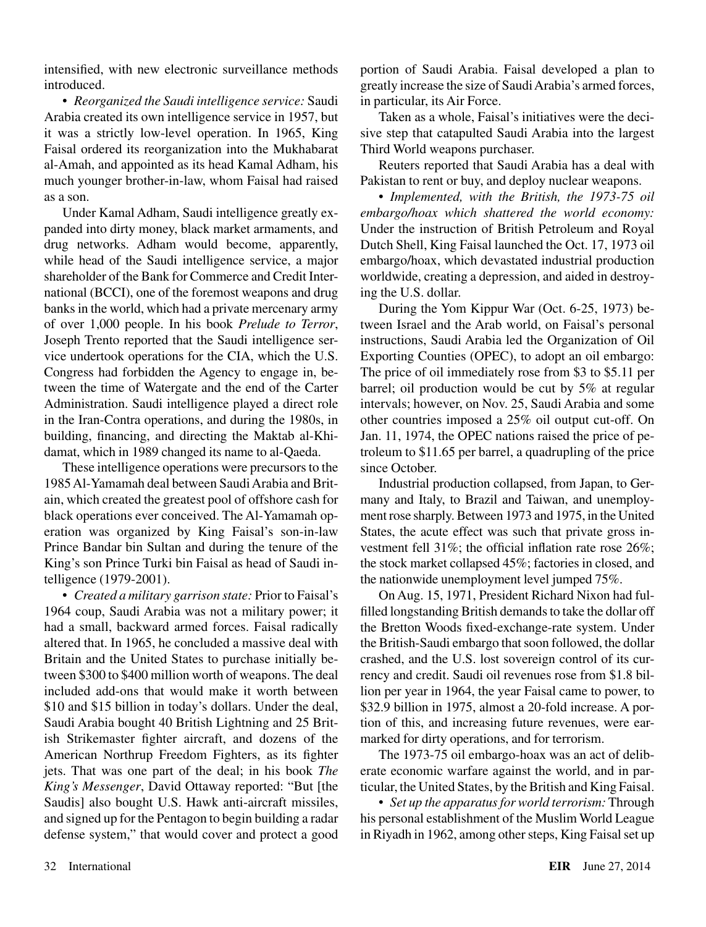intensified, with new electronic surveillance methods introduced.

• *Reorganized the Saudi intelligence service:* Saudi Arabia created its own intelligence service in 1957, but it was a strictly low-level operation. In 1965, King Faisal ordered its reorganization into the Mukhabarat al-Amah, and appointed as its head Kamal Adham, his much younger brother-in-law, whom Faisal had raised as a son.

Under Kamal Adham, Saudi intelligence greatly expanded into dirty money, black market armaments, and drug networks. Adham would become, apparently, while head of the Saudi intelligence service, a major shareholder of the Bank for Commerce and Credit International (BCCI), one of the foremost weapons and drug banks in the world, which had a private mercenary army of over 1,000 people. In his book *Prelude to Terror*, Joseph Trento reported that the Saudi intelligence service undertook operations for the CIA, which the U.S. Congress had forbidden the Agency to engage in, between the time of Watergate and the end of the Carter Administration. Saudi intelligence played a direct role in the Iran-Contra operations, and during the 1980s, in building, financing, and directing the Maktab al-Khidamat, which in 1989 changed its name to al-Qaeda.

These intelligence operations were precursors to the 1985 Al-Yamamah deal between Saudi Arabia and Britain, which created the greatest pool of offshore cash for black operations ever conceived. The Al-Yamamah operation was organized by King Faisal's son-in-law Prince Bandar bin Sultan and during the tenure of the King's son Prince Turki bin Faisal as head of Saudi intelligence (1979-2001).

• *Created a military garrison state:* Prior to Faisal's 1964 coup, Saudi Arabia was not a military power; it had a small, backward armed forces. Faisal radically altered that. In 1965, he concluded a massive deal with Britain and the United States to purchase initially between \$300 to \$400 million worth of weapons. The deal included add-ons that would make it worth between \$10 and \$15 billion in today's dollars. Under the deal, Saudi Arabia bought 40 British Lightning and 25 British Strikemaster fighter aircraft, and dozens of the American Northrup Freedom Fighters, as its fighter jets. That was one part of the deal; in his book *The King's Messenger*, David Ottaway reported: "But [the Saudis] also bought U.S. Hawk anti-aircraft missiles, and signed up for the Pentagon to begin building a radar defense system," that would cover and protect a good portion of Saudi Arabia. Faisal developed a plan to greatly increase the size of Saudi Arabia's armed forces, in particular, its Air Force.

Taken as a whole, Faisal's initiatives were the decisive step that catapulted Saudi Arabia into the largest Third World weapons purchaser.

Reuters reported that Saudi Arabia has a deal with Pakistan to rent or buy, and deploy nuclear weapons.

• *Implemented, with the British, the 1973-75 oil embargo/hoax which shattered the world economy:* Under the instruction of British Petroleum and Royal Dutch Shell, King Faisal launched the Oct. 17, 1973 oil embargo/hoax, which devastated industrial production worldwide, creating a depression, and aided in destroying the U.S. dollar.

During the Yom Kippur War (Oct. 6-25, 1973) between Israel and the Arab world, on Faisal's personal instructions, Saudi Arabia led the Organization of Oil Exporting Counties (OPEC), to adopt an oil embargo: The price of oil immediately rose from \$3 to \$5.11 per barrel; oil production would be cut by 5% at regular intervals; however, on Nov. 25, Saudi Arabia and some other countries imposed a 25% oil output cut-off. On Jan. 11, 1974, the OPEC nations raised the price of petroleum to \$11.65 per barrel, a quadrupling of the price since October.

Industrial production collapsed, from Japan, to Germany and Italy, to Brazil and Taiwan, and unemployment rose sharply. Between 1973 and 1975, in the United States, the acute effect was such that private gross investment fell 31%; the official inflation rate rose 26%; the stock market collapsed 45%; factories in closed, and the nationwide unemployment level jumped 75%.

On Aug. 15, 1971, President Richard Nixon had fulfilled longstanding British demands to take the dollar off the Bretton Woods fixed-exchange-rate system. Under the British-Saudi embargo that soon followed, the dollar crashed, and the U.S. lost sovereign control of its currency and credit. Saudi oil revenues rose from \$1.8 billion per year in 1964, the year Faisal came to power, to \$32.9 billion in 1975, almost a 20-fold increase. A portion of this, and increasing future revenues, were earmarked for dirty operations, and for terrorism.

The 1973-75 oil embargo-hoax was an act of deliberate economic warfare against the world, and in particular, the United States, by the British and King Faisal.

• *Set up the apparatus for world terrorism:* Through his personal establishment of the Muslim World League in Riyadh in 1962, among other steps, King Faisal set up